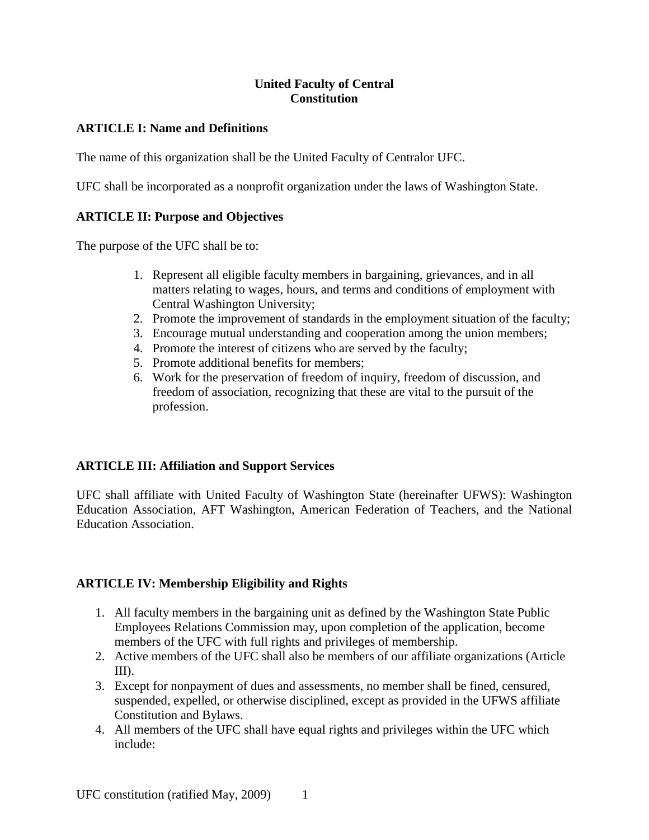## **United Faculty of Central Constitution**

## **ARTICLE I: Name and Definitions**

The name of this organization shall be the United Faculty of Centralor UFC.

UFC shall be incorporated as a nonprofit organization under the laws of Washington State.

# **ARTICLE II: Purpose and Objectives**

The purpose of the UFC shall be to:

- 1. Represent all eligible faculty members in bargaining, grievances, and in all matters relating to wages, hours, and terms and conditions of employment with Central Washington University;
- 2. Promote the improvement of standards in the employment situation of the faculty;
- 3. Encourage mutual understanding and cooperation among the union members;
- 4. Promote the interest of citizens who are served by the faculty;
- 5. Promote additional benefits for members;
- 6. Work for the preservation of freedom of inquiry, freedom of discussion, and freedom of association, recognizing that these are vital to the pursuit of the profession.

## **ARTICLE III: Affiliation and Support Services**

UFC shall affiliate with United Faculty of Washington State (hereinafter UFWS): Washington Education Association, AFT Washington, American Federation of Teachers, and the National Education Association.

# **ARTICLE IV: Membership Eligibility and Rights**

- 1. All faculty members in the bargaining unit as defined by the Washington State Public Employees Relations Commission may, upon completion of the application, become members of the UFC with full rights and privileges of membership.
- 2. Active members of the UFC shall also be members of our affiliate organizations (Article III).
- 3. Except for nonpayment of dues and assessments, no member shall be fined, censured, suspended, expelled, or otherwise disciplined, except as provided in the UFWS affiliate Constitution and Bylaws.
- 4. All members of the UFC shall have equal rights and privileges within the UFC which include: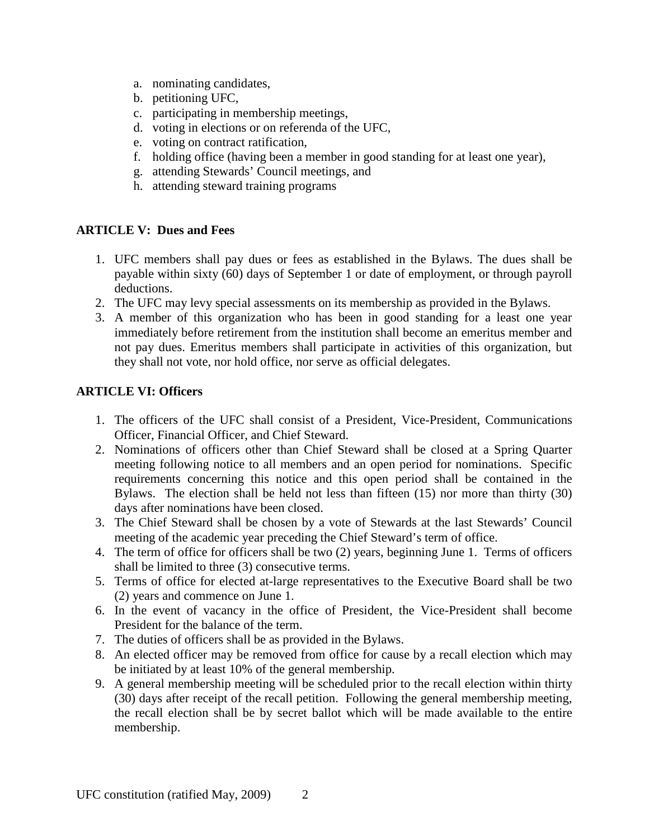- a. nominating candidates,
- b. petitioning UFC,
- c. participating in membership meetings,
- d. voting in elections or on referenda of the UFC,
- e. voting on contract ratification,
- f. holding office (having been a member in good standing for at least one year),
- g. attending Stewards' Council meetings, and
- h. attending steward training programs

#### **ARTICLE V: Dues and Fees**

- 1. UFC members shall pay dues or fees as established in the Bylaws. The dues shall be payable within sixty (60) days of September 1 or date of employment, or through payroll deductions.
- 2. The UFC may levy special assessments on its membership as provided in the Bylaws.
- 3. A member of this organization who has been in good standing for a least one year immediately before retirement from the institution shall become an emeritus member and not pay dues. Emeritus members shall participate in activities of this organization, but they shall not vote, nor hold office, nor serve as official delegates.

#### **ARTICLE VI: Officers**

- 1. The officers of the UFC shall consist of a President, Vice-President, Communications Officer, Financial Officer, and Chief Steward.
- 2. Nominations of officers other than Chief Steward shall be closed at a Spring Quarter meeting following notice to all members and an open period for nominations. Specific requirements concerning this notice and this open period shall be contained in the Bylaws. The election shall be held not less than fifteen (15) nor more than thirty (30) days after nominations have been closed.
- 3. The Chief Steward shall be chosen by a vote of Stewards at the last Stewards' Council meeting of the academic year preceding the Chief Steward's term of office.
- 4. The term of office for officers shall be two (2) years, beginning June 1. Terms of officers shall be limited to three (3) consecutive terms.
- 5. Terms of office for elected at-large representatives to the Executive Board shall be two (2) years and commence on June 1.
- 6. In the event of vacancy in the office of President, the Vice-President shall become President for the balance of the term.
- 7. The duties of officers shall be as provided in the Bylaws.
- 8. An elected officer may be removed from office for cause by a recall election which may be initiated by at least 10% of the general membership.
- 9. A general membership meeting will be scheduled prior to the recall election within thirty (30) days after receipt of the recall petition. Following the general membership meeting, the recall election shall be by secret ballot which will be made available to the entire membership.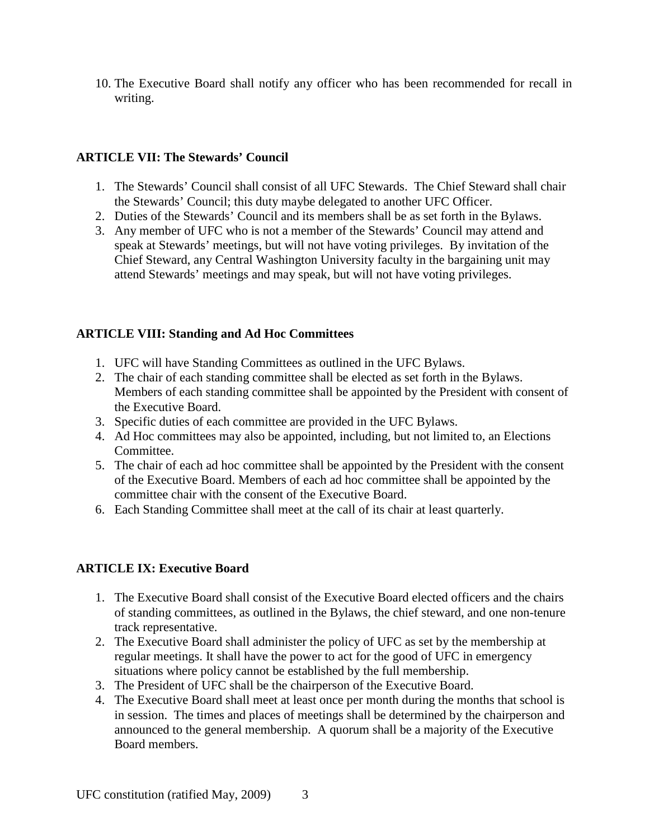10. The Executive Board shall notify any officer who has been recommended for recall in writing.

## **ARTICLE VII: The Stewards' Council**

- 1. The Stewards' Council shall consist of all UFC Stewards. The Chief Steward shall chair the Stewards' Council; this duty maybe delegated to another UFC Officer.
- 2. Duties of the Stewards' Council and its members shall be as set forth in the Bylaws.
- 3. Any member of UFC who is not a member of the Stewards' Council may attend and speak at Stewards' meetings, but will not have voting privileges. By invitation of the Chief Steward, any Central Washington University faculty in the bargaining unit may attend Stewards' meetings and may speak, but will not have voting privileges.

## **ARTICLE VIII: Standing and Ad Hoc Committees**

- 1. UFC will have Standing Committees as outlined in the UFC Bylaws.
- 2. The chair of each standing committee shall be elected as set forth in the Bylaws. Members of each standing committee shall be appointed by the President with consent of the Executive Board.
- 3. Specific duties of each committee are provided in the UFC Bylaws.
- 4. Ad Hoc committees may also be appointed, including, but not limited to, an Elections Committee.
- 5. The chair of each ad hoc committee shall be appointed by the President with the consent of the Executive Board. Members of each ad hoc committee shall be appointed by the committee chair with the consent of the Executive Board.
- 6. Each Standing Committee shall meet at the call of its chair at least quarterly.

# **ARTICLE IX: Executive Board**

- 1. The Executive Board shall consist of the Executive Board elected officers and the chairs of standing committees, as outlined in the Bylaws, the chief steward, and one non-tenure track representative.
- 2. The Executive Board shall administer the policy of UFC as set by the membership at regular meetings. It shall have the power to act for the good of UFC in emergency situations where policy cannot be established by the full membership.
- 3. The President of UFC shall be the chairperson of the Executive Board.
- 4. The Executive Board shall meet at least once per month during the months that school is in session. The times and places of meetings shall be determined by the chairperson and announced to the general membership. A quorum shall be a majority of the Executive Board members.